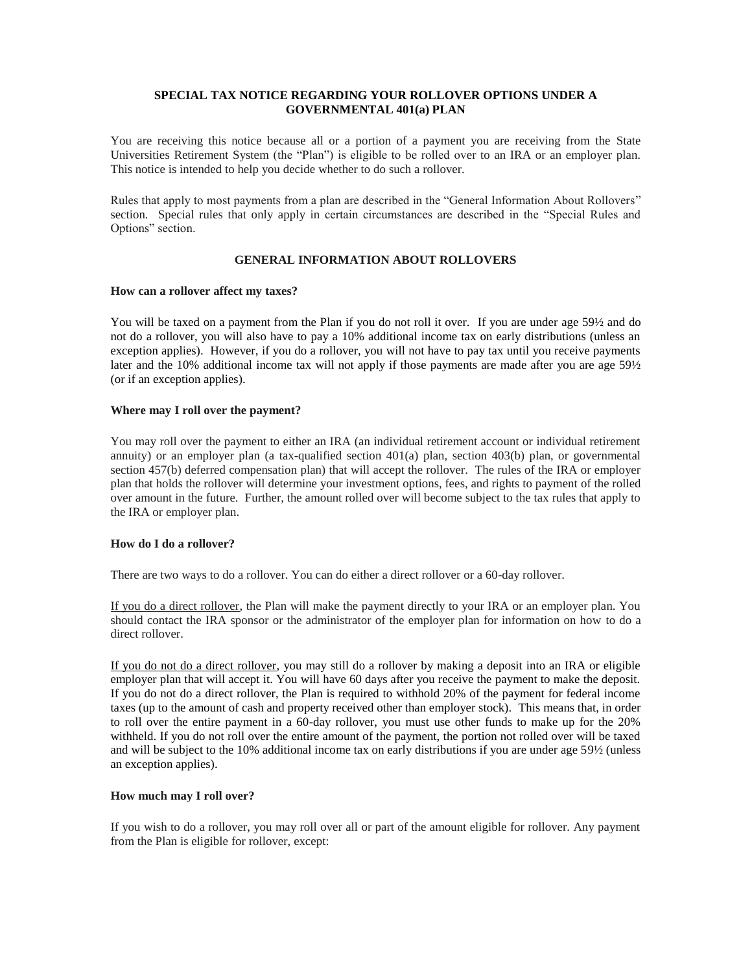## **SPECIAL TAX NOTICE REGARDING YOUR ROLLOVER OPTIONS UNDER A GOVERNMENTAL 401(a) PLAN**

You are receiving this notice because all or a portion of a payment you are receiving from the State Universities Retirement System (the "Plan") is eligible to be rolled over to an IRA or an employer plan. This notice is intended to help you decide whether to do such a rollover.

Rules that apply to most payments from a plan are described in the "General Information About Rollovers" section. Special rules that only apply in certain circumstances are described in the "Special Rules and Options" section.

# **GENERAL INFORMATION ABOUT ROLLOVERS**

#### **How can a rollover affect my taxes?**

You will be taxed on a payment from the Plan if you do not roll it over. If you are under age 59½ and do not do a rollover, you will also have to pay a 10% additional income tax on early distributions (unless an exception applies). However, if you do a rollover, you will not have to pay tax until you receive payments later and the 10% additional income tax will not apply if those payments are made after you are age 591/2 (or if an exception applies).

### **Where may I roll over the payment?**

You may roll over the payment to either an IRA (an individual retirement account or individual retirement annuity) or an employer plan (a tax-qualified section 401(a) plan, section 403(b) plan, or governmental section 457(b) deferred compensation plan) that will accept the rollover. The rules of the IRA or employer plan that holds the rollover will determine your investment options, fees, and rights to payment of the rolled over amount in the future. Further, the amount rolled over will become subject to the tax rules that apply to the IRA or employer plan.

# **How do I do a rollover?**

There are two ways to do a rollover. You can do either a direct rollover or a 60-day rollover.

If you do a direct rollover, the Plan will make the payment directly to your IRA or an employer plan. You should contact the IRA sponsor or the administrator of the employer plan for information on how to do a direct rollover.

If you do not do a direct rollover, you may still do a rollover by making a deposit into an IRA or eligible employer plan that will accept it. You will have 60 days after you receive the payment to make the deposit. If you do not do a direct rollover, the Plan is required to withhold 20% of the payment for federal income taxes (up to the amount of cash and property received other than employer stock). This means that, in order to roll over the entire payment in a 60-day rollover, you must use other funds to make up for the 20% withheld. If you do not roll over the entire amount of the payment, the portion not rolled over will be taxed and will be subject to the 10% additional income tax on early distributions if you are under age 59½ (unless an exception applies).

# **How much may I roll over?**

If you wish to do a rollover, you may roll over all or part of the amount eligible for rollover. Any payment from the Plan is eligible for rollover, except: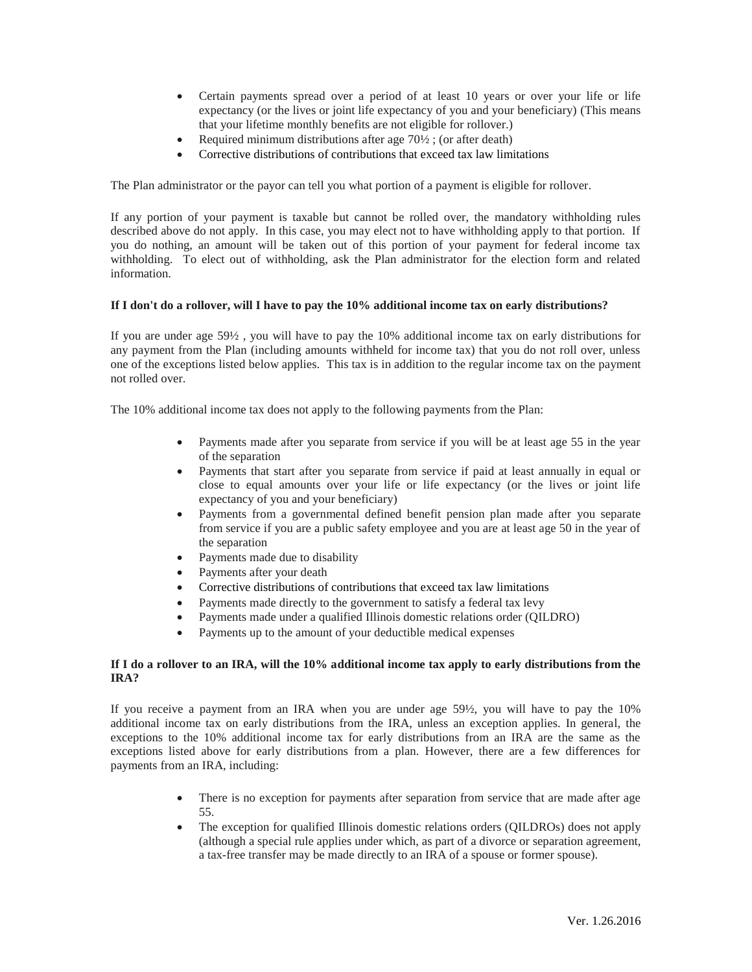- Certain payments spread over a period of at least 10 years or over your life or life expectancy (or the lives or joint life expectancy of you and your beneficiary) (This means that your lifetime monthly benefits are not eligible for rollover.)
- Required minimum distributions after age 70½ ; (or after death)
- Corrective distributions of contributions that exceed tax law limitations

The Plan administrator or the payor can tell you what portion of a payment is eligible for rollover.

If any portion of your payment is taxable but cannot be rolled over, the mandatory withholding rules described above do not apply. In this case, you may elect not to have withholding apply to that portion. If you do nothing, an amount will be taken out of this portion of your payment for federal income tax withholding. To elect out of withholding, ask the Plan administrator for the election form and related information.

### **If I don't do a rollover, will I have to pay the 10% additional income tax on early distributions?**

If you are under age 59½ , you will have to pay the 10% additional income tax on early distributions for any payment from the Plan (including amounts withheld for income tax) that you do not roll over, unless one of the exceptions listed below applies. This tax is in addition to the regular income tax on the payment not rolled over.

The 10% additional income tax does not apply to the following payments from the Plan:

- Payments made after you separate from service if you will be at least age 55 in the year of the separation
- Payments that start after you separate from service if paid at least annually in equal or close to equal amounts over your life or life expectancy (or the lives or joint life expectancy of you and your beneficiary)
- Payments from a governmental defined benefit pension plan made after you separate from service if you are a public safety employee and you are at least age 50 in the year of the separation
- Payments made due to disability
- Payments after your death
- Corrective distributions of contributions that exceed tax law limitations
- Payments made directly to the government to satisfy a federal tax levy
- Payments made under a qualified Illinois domestic relations order (QILDRO)
- Payments up to the amount of your deductible medical expenses

### **If I do a rollover to an IRA, will the 10% additional income tax apply to early distributions from the IRA?**

If you receive a payment from an IRA when you are under age 59½, you will have to pay the 10% additional income tax on early distributions from the IRA, unless an exception applies. In general, the exceptions to the 10% additional income tax for early distributions from an IRA are the same as the exceptions listed above for early distributions from a plan. However, there are a few differences for payments from an IRA, including:

- There is no exception for payments after separation from service that are made after age 55.
- The exception for qualified Illinois domestic relations orders (QILDROs) does not apply (although a special rule applies under which, as part of a divorce or separation agreement, a tax-free transfer may be made directly to an IRA of a spouse or former spouse).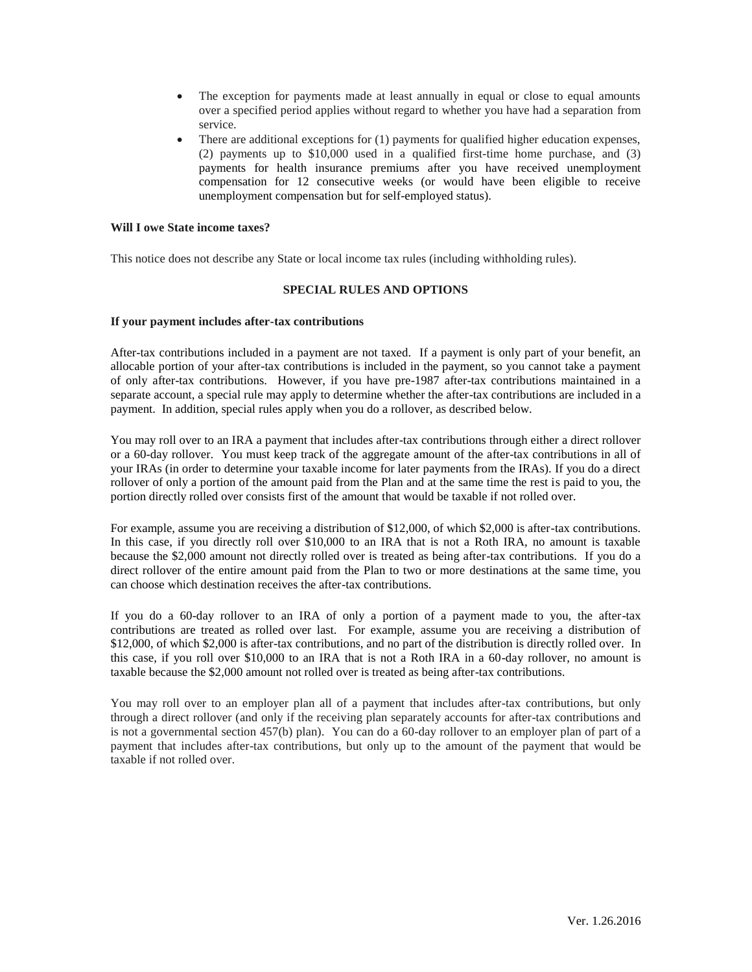- The exception for payments made at least annually in equal or close to equal amounts over a specified period applies without regard to whether you have had a separation from service.
- There are additional exceptions for (1) payments for qualified higher education expenses, (2) payments up to \$10,000 used in a qualified first-time home purchase, and (3) payments for health insurance premiums after you have received unemployment compensation for 12 consecutive weeks (or would have been eligible to receive unemployment compensation but for self-employed status).

#### **Will I owe State income taxes?**

This notice does not describe any State or local income tax rules (including withholding rules).

# **SPECIAL RULES AND OPTIONS**

#### **If your payment includes after-tax contributions**

After-tax contributions included in a payment are not taxed. If a payment is only part of your benefit, an allocable portion of your after-tax contributions is included in the payment, so you cannot take a payment of only after-tax contributions. However, if you have pre-1987 after-tax contributions maintained in a separate account, a special rule may apply to determine whether the after-tax contributions are included in a payment. In addition, special rules apply when you do a rollover, as described below.

You may roll over to an IRA a payment that includes after-tax contributions through either a direct rollover or a 60-day rollover. You must keep track of the aggregate amount of the after-tax contributions in all of your IRAs (in order to determine your taxable income for later payments from the IRAs). If you do a direct rollover of only a portion of the amount paid from the Plan and at the same time the rest is paid to you, the portion directly rolled over consists first of the amount that would be taxable if not rolled over.

For example, assume you are receiving a distribution of \$12,000, of which \$2,000 is after-tax contributions. In this case, if you directly roll over \$10,000 to an IRA that is not a Roth IRA, no amount is taxable because the \$2,000 amount not directly rolled over is treated as being after-tax contributions. If you do a direct rollover of the entire amount paid from the Plan to two or more destinations at the same time, you can choose which destination receives the after-tax contributions.

If you do a 60-day rollover to an IRA of only a portion of a payment made to you, the after-tax contributions are treated as rolled over last. For example, assume you are receiving a distribution of \$12,000, of which \$2,000 is after-tax contributions, and no part of the distribution is directly rolled over. In this case, if you roll over \$10,000 to an IRA that is not a Roth IRA in a 60-day rollover, no amount is taxable because the \$2,000 amount not rolled over is treated as being after-tax contributions.

You may roll over to an employer plan all of a payment that includes after-tax contributions, but only through a direct rollover (and only if the receiving plan separately accounts for after-tax contributions and is not a governmental section 457(b) plan). You can do a 60-day rollover to an employer plan of part of a payment that includes after-tax contributions, but only up to the amount of the payment that would be taxable if not rolled over.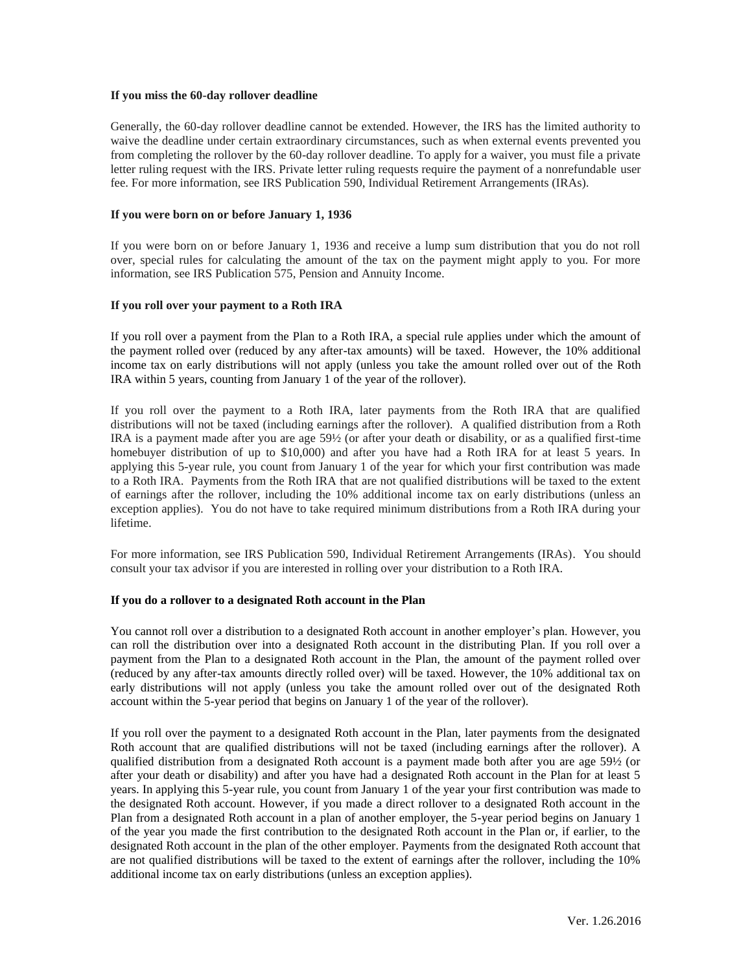#### **If you miss the 60-day rollover deadline**

Generally, the 60-day rollover deadline cannot be extended. However, the IRS has the limited authority to waive the deadline under certain extraordinary circumstances, such as when external events prevented you from completing the rollover by the 60-day rollover deadline. To apply for a waiver, you must file a private letter ruling request with the IRS. Private letter ruling requests require the payment of a nonrefundable user fee. For more information, see IRS Publication 590, Individual Retirement Arrangements (IRAs).

#### **If you were born on or before January 1, 1936**

If you were born on or before January 1, 1936 and receive a lump sum distribution that you do not roll over, special rules for calculating the amount of the tax on the payment might apply to you. For more information, see IRS Publication 575, Pension and Annuity Income.

### **If you roll over your payment to a Roth IRA**

If you roll over a payment from the Plan to a Roth IRA, a special rule applies under which the amount of the payment rolled over (reduced by any after-tax amounts) will be taxed. However, the 10% additional income tax on early distributions will not apply (unless you take the amount rolled over out of the Roth IRA within 5 years, counting from January 1 of the year of the rollover).

If you roll over the payment to a Roth IRA, later payments from the Roth IRA that are qualified distributions will not be taxed (including earnings after the rollover). A qualified distribution from a Roth IRA is a payment made after you are age 59½ (or after your death or disability, or as a qualified first-time homebuyer distribution of up to \$10,000) and after you have had a Roth IRA for at least 5 years. In applying this 5-year rule, you count from January 1 of the year for which your first contribution was made to a Roth IRA. Payments from the Roth IRA that are not qualified distributions will be taxed to the extent of earnings after the rollover, including the 10% additional income tax on early distributions (unless an exception applies). You do not have to take required minimum distributions from a Roth IRA during your lifetime.

For more information, see IRS Publication 590, Individual Retirement Arrangements (IRAs). You should consult your tax advisor if you are interested in rolling over your distribution to a Roth IRA.

#### **If you do a rollover to a designated Roth account in the Plan**

You cannot roll over a distribution to a designated Roth account in another employer's plan. However, you can roll the distribution over into a designated Roth account in the distributing Plan. If you roll over a payment from the Plan to a designated Roth account in the Plan, the amount of the payment rolled over (reduced by any after-tax amounts directly rolled over) will be taxed. However, the 10% additional tax on early distributions will not apply (unless you take the amount rolled over out of the designated Roth account within the 5-year period that begins on January 1 of the year of the rollover).

If you roll over the payment to a designated Roth account in the Plan, later payments from the designated Roth account that are qualified distributions will not be taxed (including earnings after the rollover). A qualified distribution from a designated Roth account is a payment made both after you are age 59½ (or after your death or disability) and after you have had a designated Roth account in the Plan for at least 5 years. In applying this 5-year rule, you count from January 1 of the year your first contribution was made to the designated Roth account. However, if you made a direct rollover to a designated Roth account in the Plan from a designated Roth account in a plan of another employer, the 5-year period begins on January 1 of the year you made the first contribution to the designated Roth account in the Plan or, if earlier, to the designated Roth account in the plan of the other employer. Payments from the designated Roth account that are not qualified distributions will be taxed to the extent of earnings after the rollover, including the 10% additional income tax on early distributions (unless an exception applies).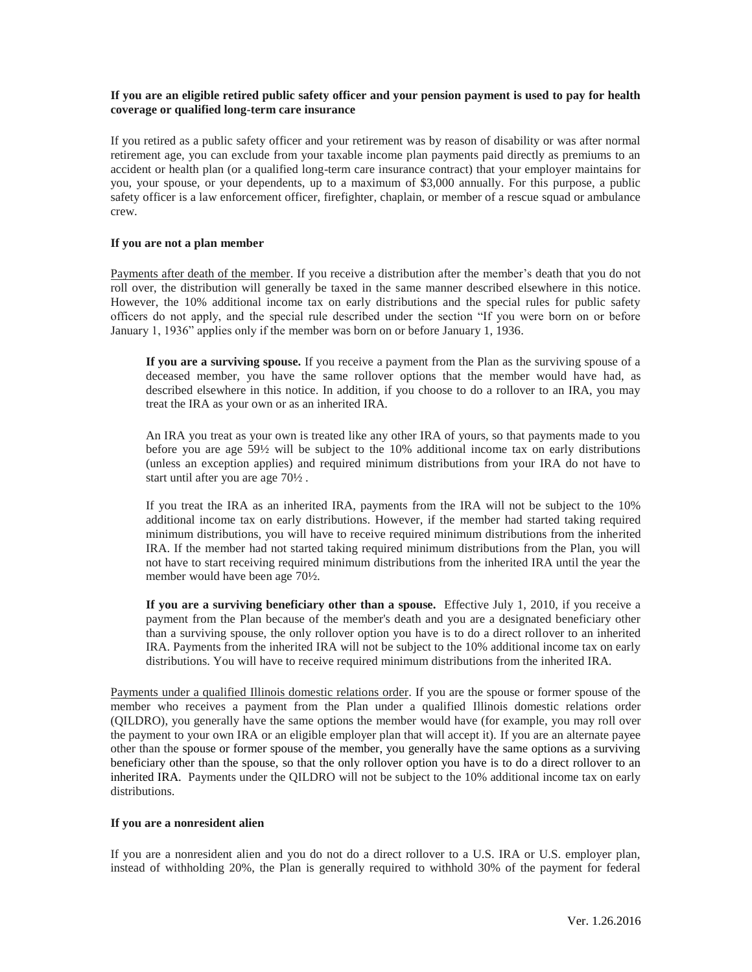## **If you are an eligible retired public safety officer and your pension payment is used to pay for health coverage or qualified long-term care insurance**

If you retired as a public safety officer and your retirement was by reason of disability or was after normal retirement age, you can exclude from your taxable income plan payments paid directly as premiums to an accident or health plan (or a qualified long-term care insurance contract) that your employer maintains for you, your spouse, or your dependents, up to a maximum of \$3,000 annually. For this purpose, a public safety officer is a law enforcement officer, firefighter, chaplain, or member of a rescue squad or ambulance crew.

## **If you are not a plan member**

Payments after death of the member. If you receive a distribution after the member's death that you do not roll over, the distribution will generally be taxed in the same manner described elsewhere in this notice. However, the 10% additional income tax on early distributions and the special rules for public safety officers do not apply, and the special rule described under the section "If you were born on or before January 1, 1936" applies only if the member was born on or before January 1, 1936.

**If you are a surviving spouse.** If you receive a payment from the Plan as the surviving spouse of a deceased member, you have the same rollover options that the member would have had, as described elsewhere in this notice. In addition, if you choose to do a rollover to an IRA, you may treat the IRA as your own or as an inherited IRA.

An IRA you treat as your own is treated like any other IRA of yours, so that payments made to you before you are age 59½ will be subject to the 10% additional income tax on early distributions (unless an exception applies) and required minimum distributions from your IRA do not have to start until after you are age 70½ .

If you treat the IRA as an inherited IRA, payments from the IRA will not be subject to the 10% additional income tax on early distributions. However, if the member had started taking required minimum distributions, you will have to receive required minimum distributions from the inherited IRA. If the member had not started taking required minimum distributions from the Plan, you will not have to start receiving required minimum distributions from the inherited IRA until the year the member would have been age 70½.

**If you are a surviving beneficiary other than a spouse.** Effective July 1, 2010, if you receive a payment from the Plan because of the member's death and you are a designated beneficiary other than a surviving spouse, the only rollover option you have is to do a direct rollover to an inherited IRA. Payments from the inherited IRA will not be subject to the 10% additional income tax on early distributions. You will have to receive required minimum distributions from the inherited IRA.

Payments under a qualified Illinois domestic relations order. If you are the spouse or former spouse of the member who receives a payment from the Plan under a qualified Illinois domestic relations order (QILDRO), you generally have the same options the member would have (for example, you may roll over the payment to your own IRA or an eligible employer plan that will accept it). If you are an alternate payee other than the spouse or former spouse of the member, you generally have the same options as a surviving beneficiary other than the spouse, so that the only rollover option you have is to do a direct rollover to an inherited IRA. Payments under the QILDRO will not be subject to the 10% additional income tax on early distributions.

#### **If you are a nonresident alien**

If you are a nonresident alien and you do not do a direct rollover to a U.S. IRA or U.S. employer plan, instead of withholding 20%, the Plan is generally required to withhold 30% of the payment for federal